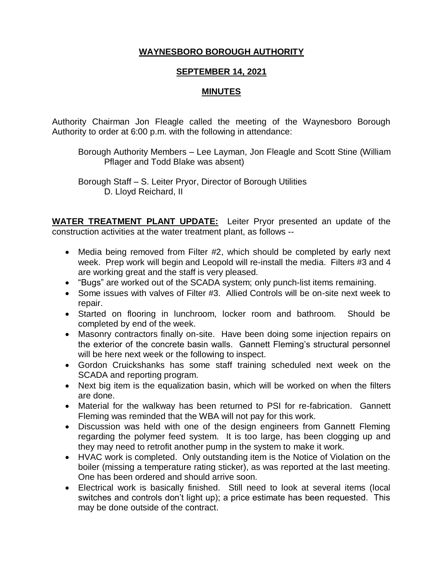## **WAYNESBORO BOROUGH AUTHORITY**

## **SEPTEMBER 14, 2021**

## **MINUTES**

Authority Chairman Jon Fleagle called the meeting of the Waynesboro Borough Authority to order at 6:00 p.m. with the following in attendance:

Borough Authority Members – Lee Layman, Jon Fleagle and Scott Stine (William Pflager and Todd Blake was absent)

Borough Staff – S. Leiter Pryor, Director of Borough Utilities D. Lloyd Reichard, II

**WATER TREATMENT PLANT UPDATE:** Leiter Pryor presented an update of the construction activities at the water treatment plant, as follows --

- Media being removed from Filter #2, which should be completed by early next week. Prep work will begin and Leopold will re-install the media. Filters #3 and 4 are working great and the staff is very pleased.
- "Bugs" are worked out of the SCADA system; only punch-list items remaining.
- Some issues with valves of Filter #3. Allied Controls will be on-site next week to repair.
- Started on flooring in lunchroom, locker room and bathroom. Should be completed by end of the week.
- Masonry contractors finally on-site. Have been doing some injection repairs on the exterior of the concrete basin walls. Gannett Fleming's structural personnel will be here next week or the following to inspect.
- Gordon Cruickshanks has some staff training scheduled next week on the SCADA and reporting program.
- Next big item is the equalization basin, which will be worked on when the filters are done.
- Material for the walkway has been returned to PSI for re-fabrication. Gannett Fleming was reminded that the WBA will not pay for this work.
- Discussion was held with one of the design engineers from Gannett Fleming regarding the polymer feed system. It is too large, has been clogging up and they may need to retrofit another pump in the system to make it work.
- HVAC work is completed. Only outstanding item is the Notice of Violation on the boiler (missing a temperature rating sticker), as was reported at the last meeting. One has been ordered and should arrive soon.
- Electrical work is basically finished. Still need to look at several items (local switches and controls don't light up); a price estimate has been requested. This may be done outside of the contract.